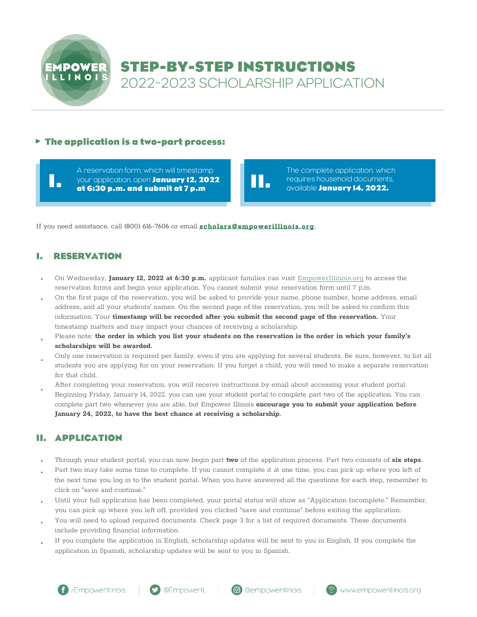

# **STEP-BY-STEP INSTRUCTIONS**  2022-2023 SCHOLARSHIP APPLICATION

### **The application is a two-part process:**

A reservation form, which will timestamp your application, open **January 12, 2022** requires household documents, **I. II.** available **January <sup>1</sup>4, <sup>202</sup>2. at 6:30 p.m. and submit at 7 p.m**

The complete application, which

If you need assistance, call (800) 616-7606 or email **scholars@empowerillinois.org**.

## **I. RESERVATION**

- On Wednesday, **January 12, 2022 at 6:30 p.m.** applicant families can visit [EmpowerIllinois.org](https://empowerillinois.org/) to access the reservation forms and begin your application. You cannot submit your reservation form until 7 p.m.
- On the first page of the reservation, you will be asked to provide your name, phone number, home address, email address, and all your students' names. On the second page of the reservation, you will be asked to confirm this information. Your **timestamp will be recorded after you submit the second page of the reservation.** Your timestamp matters and may impact your chances of receiving a scholarship. •
- Please note: the order in which you list your students on the reservation is the order in which your family's **scholarships will be awarded.** •
- Only one reservation is required per family, even if you are applying for several students. Be sure, however, to list all students you are applying for on your reservation. If you forget a child, you will need to make a separate reservation for that child. •
- After completing your reservation, you will receive instructions by email about accessing your student portal. Beginning Friday, January 14, 2022, you can use your student portal to complete part two of the application. You can complete part two whenever you are able, but Empower Illinois **encourage you to submit your application before January 24, 2022, to have the best chance at receiving a scholarship.** •

## **II. APPLICATION**

- Through your student portal, you can now begin part **two** of the application process. Part two consists of **six steps**.
- Part two may take some time to complete. If you cannot complete it at one time, you can pick up where you left of the next time you log in to the student portal. When you have answered all the questions for each step, remember to click on "save and continue."
- Until your full application has been completed, your portal status will show as "Application Incomplete." Remember, you can pick up where you left off, provided you clicked "save and continue" before exiting the application. •
- You will need to upload required documents. Check page 3 for a list of required documents. These documents include providing financial information. •
- If you complete the application in English, scholarship updates will be sent to you in English. If you complete the application in Spanish, scholarship updates will be sent to you in Spanish. •



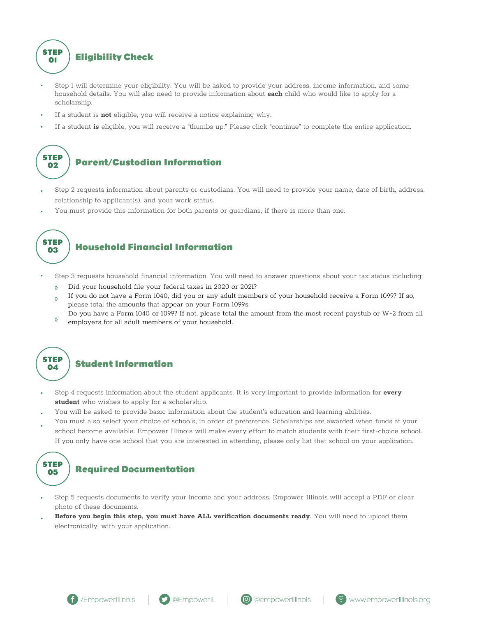**STEP <sup>01</sup> Eligibility Check** 

- Step 1 will determine your eligibility. You will be asked to provide your address, income information, and some household details. You will also need to provide information about **each** child who would like to apply for a scholarship.
- If a student is **not** eligible, you will receive a notice explaining why. •
- If a student **is** eligible, you will receive a "thumbs up." Please click "continue" to complete the entire application. •

# **STEP <sup>02</sup> Parent/Custodian Information**

- Step 2 requests information about parents or custodians. You will need to provide your name, date of birth, address, relationship to applicant(s), and your work status.
- You must provide this information for both parents or guardians, if there is more than one.



## **<sup>03</sup> Household Financial Information**

- Step 3 requests household financial information. You will need to answer questions about your tax status including:
	- Did your household file your federal taxes in 2020 or 2021?
	- If you do not have a Form 1040, did you or any adult members of your household receive a Form 1099? If so, please total the amounts that appear on your Form 1099s.
	- Do you have a Form 1040 or 1099? If not, please total the amount from the most recent paystub or W-2 from all employers for all adult members of your household.



### **<sup>04</sup> Student Information**

- Step 4 requests information about the student applicants. It is very important to provide information for **every student** who wishes to apply for a scholarship.
- You will be asked to provide basic information about the student's education and learning abilities. •
- You must also select your choice of schools, in order of preference. Scholarships are awarded when funds at your school become available. Empower Illinois will make every effort to match students with their first-choice school. If you only have one school that you are interested in attending, please only list that school on your application. •



## **<sup>05</sup> Required Documentation**

- Step 5 requests documents to verify your income and your address. Empower Illinois will accept a PDF or clear photo of these documents.
- **Before you begin this step, you must have ALL verification documents ready**. You will need to upload them electronically, with your application. **•**